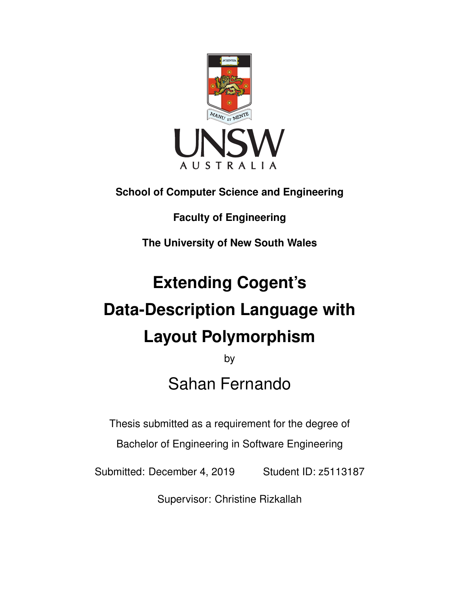

**School of Computer Science and Engineering**

**Faculty of Engineering**

**The University of New South Wales**

# **Extending Cogent's Data-Description Language with Layout Polymorphism**

by Sahan Fernando

Thesis submitted as a requirement for the degree of

Bachelor of Engineering in Software Engineering

Submitted: December 4, 2019 Student ID: z5113187

Supervisor: Christine Rizkallah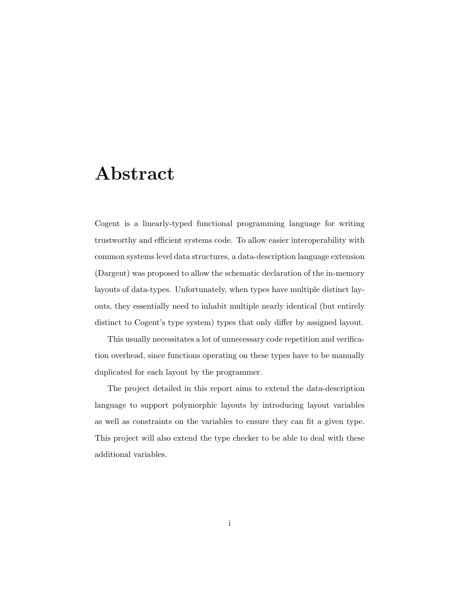## Abstract

Cogent is a linearly-typed functional programming language for writing trustworthy and efficient systems code. To allow easier interoperability with common systems level data structures, a data-description language extension (Dargent) was proposed to allow the schematic declaration of the in-memory layouts of data-types. Unfortunately, when types have multiple distinct layouts, they essentially need to inhabit multiple nearly identical (but entirely distinct to Cogent's type system) types that only differ by assigned layout.

This usually necessitates a lot of unnecessary code repetition and verification overhead, since functions operating on these types have to be manually duplicated for each layout by the programmer.

The project detailed in this report aims to extend the data-description language to support polymorphic layouts by introducing layout variables as well as constraints on the variables to ensure they can fit a given type. This project will also extend the type checker to be able to deal with these additional variables.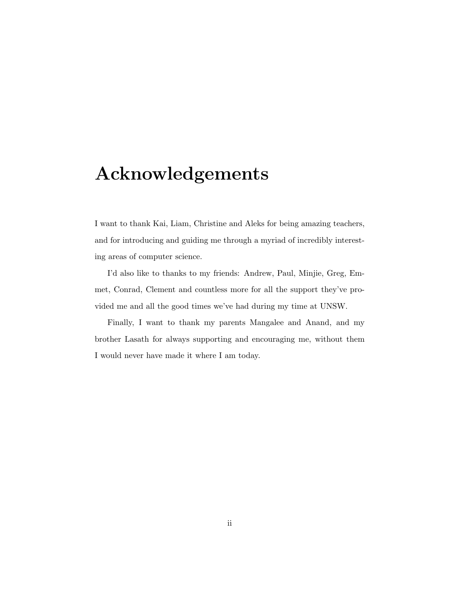## Acknowledgements

I want to thank Kai, Liam, Christine and Aleks for being amazing teachers, and for introducing and guiding me through a myriad of incredibly interesting areas of computer science.

I'd also like to thanks to my friends: Andrew, Paul, Minjie, Greg, Emmet, Conrad, Clement and countless more for all the support they've provided me and all the good times we've had during my time at UNSW.

Finally, I want to thank my parents Mangalee and Anand, and my brother Lasath for always supporting and encouraging me, without them I would never have made it where I am today.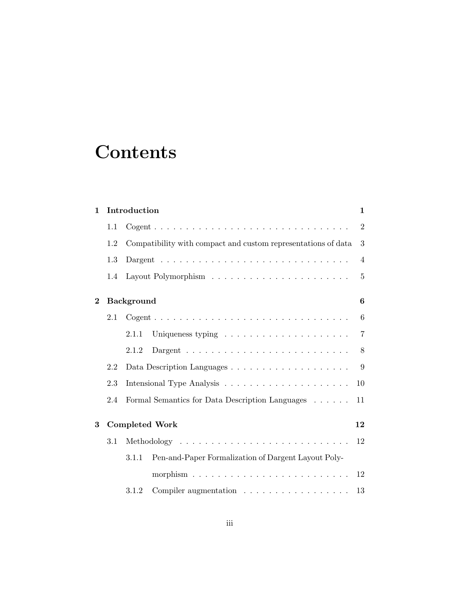## **Contents**

| $\mathbf 1$    |     | Introduction<br>$\mathbf 1$                                            |                |  |  |
|----------------|-----|------------------------------------------------------------------------|----------------|--|--|
|                | 1.1 |                                                                        | $\overline{2}$ |  |  |
|                | 1.2 | Compatibility with compact and custom representations of data          | 3              |  |  |
|                | 1.3 |                                                                        | $\overline{4}$ |  |  |
|                | 1.4 |                                                                        | $\overline{5}$ |  |  |
| $\overline{2}$ |     | <b>Background</b>                                                      |                |  |  |
|                | 2.1 |                                                                        | 6              |  |  |
|                |     | Uniqueness typing $\dots \dots \dots \dots \dots \dots \dots$<br>2.1.1 | $\overline{7}$ |  |  |
|                |     | 2.1.2                                                                  | 8              |  |  |
|                | 2.2 |                                                                        | 9              |  |  |
|                | 2.3 |                                                                        |                |  |  |
|                | 2.4 | Formal Semantics for Data Description Languages                        |                |  |  |
| 3              |     | <b>Completed Work</b>                                                  |                |  |  |
|                | 3.1 |                                                                        |                |  |  |
|                |     | Pen-and-Paper Formalization of Dargent Layout Poly-<br>3.1.1           |                |  |  |
|                |     | morphism $\ldots \ldots \ldots \ldots \ldots \ldots \ldots \ldots$     | 12             |  |  |
|                |     | Compiler augmentation<br>3.1.2                                         | 13             |  |  |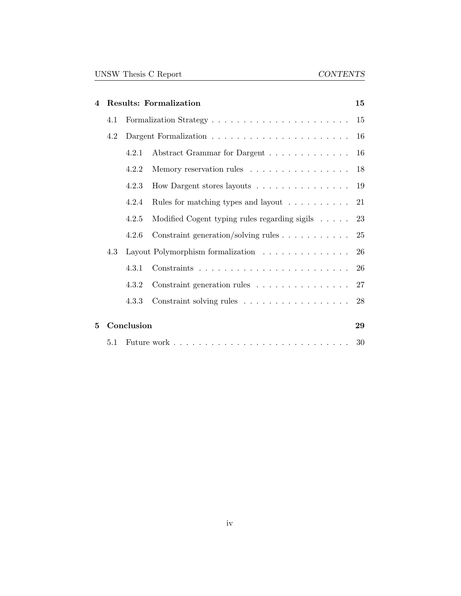| 4                                     |            | <b>Results: Formalization</b>     |                                                                      |    |  |  |
|---------------------------------------|------------|-----------------------------------|----------------------------------------------------------------------|----|--|--|
|                                       | 4.1        |                                   |                                                                      |    |  |  |
|                                       | 4.2        |                                   |                                                                      |    |  |  |
| Abstract Grammar for Dargent<br>4.2.1 |            |                                   |                                                                      | 16 |  |  |
| Memory reservation rules<br>4.2.2     |            |                                   |                                                                      | 18 |  |  |
|                                       |            | 4.2.3                             | How Dargent stores layouts 19                                        |    |  |  |
|                                       |            | 4.2.4                             | Rules for matching types and layout $\ldots \ldots \ldots 21$        |    |  |  |
|                                       |            | 4.2.5                             | Modified Cogent typing rules regarding sigils $\ldots$ . 23          |    |  |  |
|                                       |            | 4.2.6                             | Constraint generation/solving rules $\ldots \ldots \ldots \ldots$ 25 |    |  |  |
|                                       | 4.3        | Layout Polymorphism formalization |                                                                      |    |  |  |
|                                       |            | 4.3.1                             |                                                                      | 26 |  |  |
|                                       |            | 4.3.2                             | Constraint generation rules 27                                       |    |  |  |
|                                       |            | 4.3.3                             | Constraint solving rules 28                                          |    |  |  |
| 5                                     | Conclusion |                                   |                                                                      | 29 |  |  |
|                                       | 5.1        |                                   |                                                                      | 30 |  |  |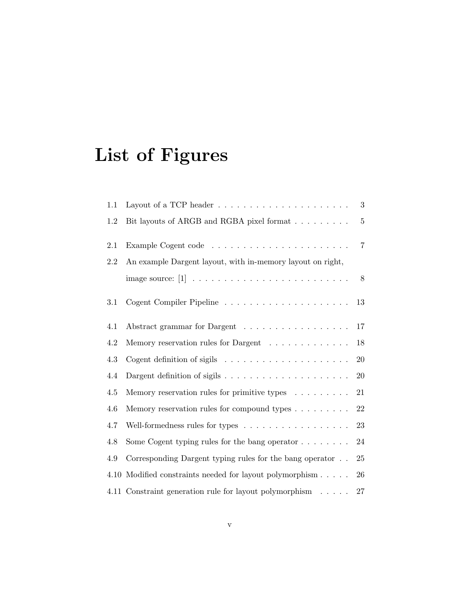# List of Figures

| 1.1 | Layout of a TCP header $\dots \dots \dots \dots \dots \dots \dots \dots$ | 3              |  |  |
|-----|--------------------------------------------------------------------------|----------------|--|--|
| 1.2 | Bit layouts of ARGB and RGBA pixel format                                | $5\,$          |  |  |
| 2.1 |                                                                          | $\overline{7}$ |  |  |
| 2.2 | An example Dargent layout, with in-memory layout on right,               |                |  |  |
|     |                                                                          | 8              |  |  |
| 3.1 |                                                                          | 13             |  |  |
| 4.1 | Abstract grammar for Dargent                                             | 17             |  |  |
| 4.2 | Memory reservation rules for Dargent $\ldots \ldots \ldots \ldots$       | 18             |  |  |
| 4.3 |                                                                          | 20             |  |  |
| 4.4 |                                                                          | 20             |  |  |
| 4.5 | Memory reservation rules for primitive types $\dots \dots$               | 21             |  |  |
| 4.6 | Memory reservation rules for compound types $\dots \dots$                | 22             |  |  |
| 4.7 | Well-formedness rules for types                                          | 23             |  |  |
| 4.8 | Some Cogent typing rules for the bang operator $\dots \dots$             | 24             |  |  |
| 4.9 | Corresponding Dargent typing rules for the bang operator                 | 25             |  |  |
|     | 4.10 Modified constraints needed for layout polymorphism                 | 26             |  |  |
|     | 4.11 Constraint generation rule for layout polymorphism                  | 27             |  |  |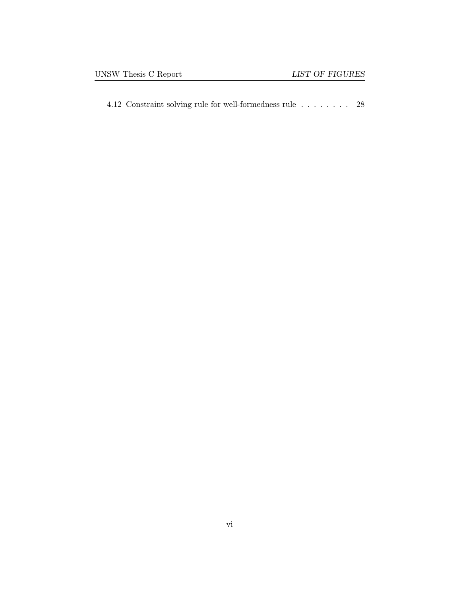[4.12 Constraint solving rule for well-formedness rule](#page-34-1)  $\hfill\ldots\ldots\ldots\hfill\ldots\hfill\relax 28$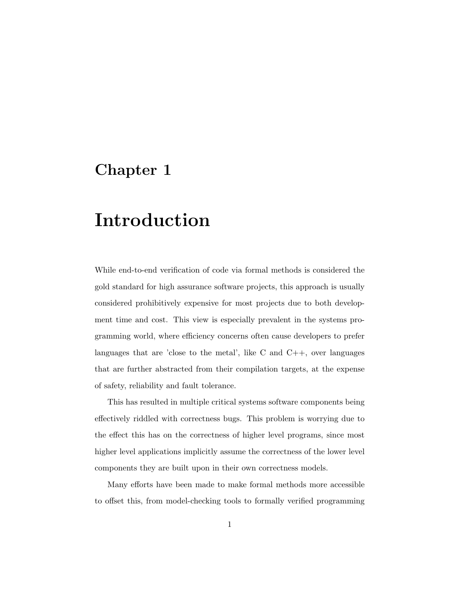## <span id="page-7-0"></span>Chapter 1

## Introduction

While end-to-end verification of code via formal methods is considered the gold standard for high assurance software projects, this approach is usually considered prohibitively expensive for most projects due to both development time and cost. This view is especially prevalent in the systems programming world, where efficiency concerns often cause developers to prefer languages that are 'close to the metal', like  $C$  and  $C_{++}$ , over languages that are further abstracted from their compilation targets, at the expense of safety, reliability and fault tolerance.

This has resulted in multiple critical systems software components being effectively riddled with correctness bugs. This problem is worrying due to the effect this has on the correctness of higher level programs, since most higher level applications implicitly assume the correctness of the lower level components they are built upon in their own correctness models.

Many efforts have been made to make formal methods more accessible to offset this, from model-checking tools to formally verified programming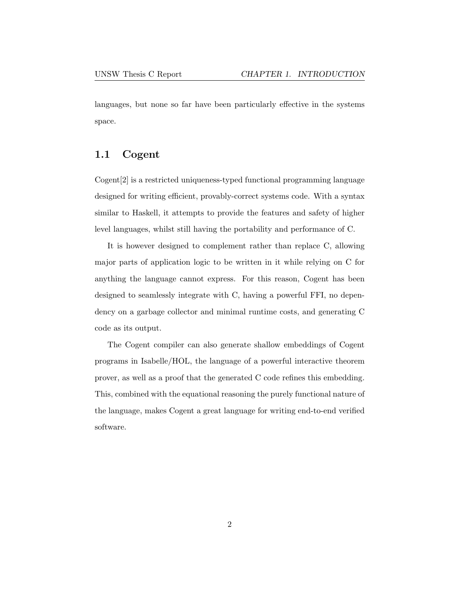languages, but none so far have been particularly effective in the systems space.

### <span id="page-8-0"></span>1.1 Cogent

Cogent[\[2\]](#page-37-1) is a restricted uniqueness-typed functional programming language designed for writing efficient, provably-correct systems code. With a syntax similar to Haskell, it attempts to provide the features and safety of higher level languages, whilst still having the portability and performance of C.

It is however designed to complement rather than replace C, allowing major parts of application logic to be written in it while relying on C for anything the language cannot express. For this reason, Cogent has been designed to seamlessly integrate with C, having a powerful FFI, no dependency on a garbage collector and minimal runtime costs, and generating C code as its output.

The Cogent compiler can also generate shallow embeddings of Cogent programs in Isabelle/HOL, the language of a powerful interactive theorem prover, as well as a proof that the generated C code refines this embedding. This, combined with the equational reasoning the purely functional nature of the language, makes Cogent a great language for writing end-to-end verified software.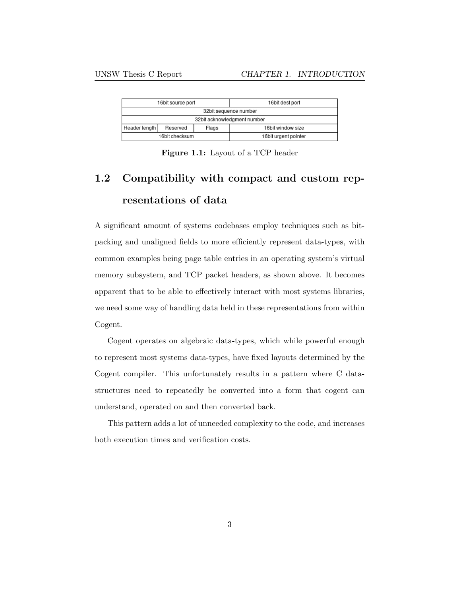<span id="page-9-1"></span>

| 16bit source port           |          |       | 16bit dest port      |  |
|-----------------------------|----------|-------|----------------------|--|
| 32bit sequence number       |          |       |                      |  |
| 32bit acknowledgment number |          |       |                      |  |
| Header length               | Reserved | Flags | 16bit window size    |  |
| 16bit checksum              |          |       | 16bit urgent pointer |  |

Figure 1.1: Layout of a TCP header

## <span id="page-9-0"></span>1.2 Compatibility with compact and custom representations of data

A significant amount of systems codebases employ techniques such as bitpacking and unaligned fields to more efficiently represent data-types, with common examples being page table entries in an operating system's virtual memory subsystem, and TCP packet headers, as shown above. It becomes apparent that to be able to effectively interact with most systems libraries, we need some way of handling data held in these representations from within Cogent.

Cogent operates on algebraic data-types, which while powerful enough to represent most systems data-types, have fixed layouts determined by the Cogent compiler. This unfortunately results in a pattern where C datastructures need to repeatedly be converted into a form that cogent can understand, operated on and then converted back.

This pattern adds a lot of unneeded complexity to the code, and increases both execution times and verification costs.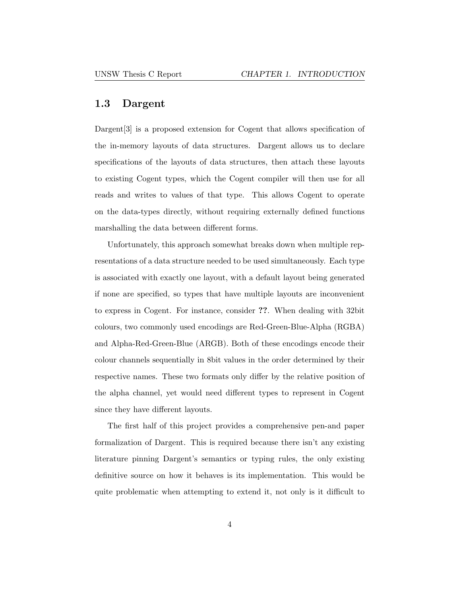### <span id="page-10-0"></span>1.3 Dargent

Dargent<sup>[\[3\]](#page-37-2)</sup> is a proposed extension for Cogent that allows specification of the in-memory layouts of data structures. Dargent allows us to declare specifications of the layouts of data structures, then attach these layouts to existing Cogent types, which the Cogent compiler will then use for all reads and writes to values of that type. This allows Cogent to operate on the data-types directly, without requiring externally defined functions marshalling the data between different forms.

Unfortunately, this approach somewhat breaks down when multiple representations of a data structure needed to be used simultaneously. Each type is associated with exactly one layout, with a default layout being generated if none are specified, so types that have multiple layouts are inconvenient to express in Cogent. For instance, consider ??. When dealing with 32bit colours, two commonly used encodings are Red-Green-Blue-Alpha (RGBA) and Alpha-Red-Green-Blue (ARGB). Both of these encodings encode their colour channels sequentially in 8bit values in the order determined by their respective names. These two formats only differ by the relative position of the alpha channel, yet would need different types to represent in Cogent since they have different layouts.

The first half of this project provides a comprehensive pen-and paper formalization of Dargent. This is required because there isn't any existing literature pinning Dargent's semantics or typing rules, the only existing definitive source on how it behaves is its implementation. This would be quite problematic when attempting to extend it, not only is it difficult to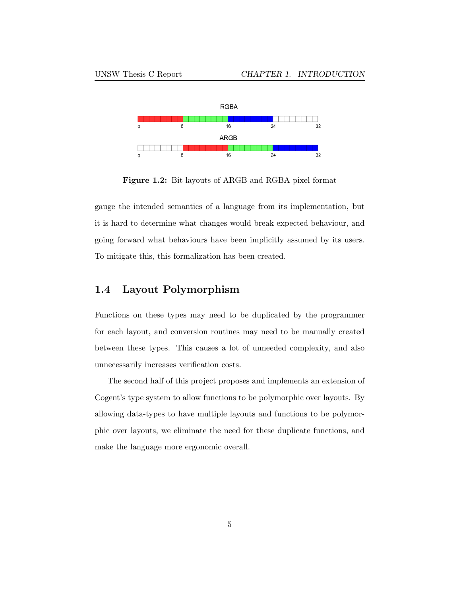<span id="page-11-1"></span>

Figure 1.2: Bit layouts of ARGB and RGBA pixel format

gauge the intended semantics of a language from its implementation, but it is hard to determine what changes would break expected behaviour, and going forward what behaviours have been implicitly assumed by its users. To mitigate this, this formalization has been created.

### <span id="page-11-0"></span>1.4 Layout Polymorphism

Functions on these types may need to be duplicated by the programmer for each layout, and conversion routines may need to be manually created between these types. This causes a lot of unneeded complexity, and also unnecessarily increases verification costs.

The second half of this project proposes and implements an extension of Cogent's type system to allow functions to be polymorphic over layouts. By allowing data-types to have multiple layouts and functions to be polymorphic over layouts, we eliminate the need for these duplicate functions, and make the language more ergonomic overall.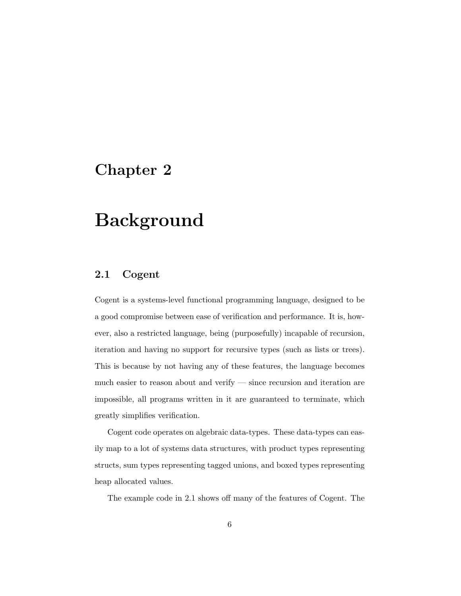## <span id="page-12-0"></span>Chapter 2

## Background

### <span id="page-12-1"></span>2.1 Cogent

Cogent is a systems-level functional programming language, designed to be a good compromise between ease of verification and performance. It is, however, also a restricted language, being (purposefully) incapable of recursion, iteration and having no support for recursive types (such as lists or trees). This is because by not having any of these features, the language becomes much easier to reason about and verify — since recursion and iteration are impossible, all programs written in it are guaranteed to terminate, which greatly simplifies verification.

Cogent code operates on algebraic data-types. These data-types can easily map to a lot of systems data structures, with product types representing structs, sum types representing tagged unions, and boxed types representing heap allocated values.

The example code in [2.1](#page-13-1) shows off many of the features of Cogent. The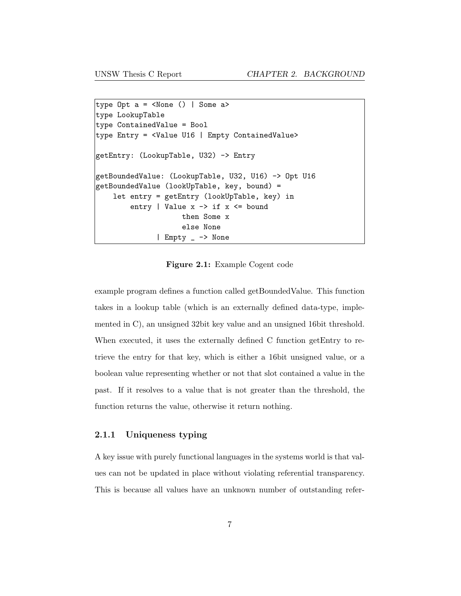```
type Opt a = <None () | Some a>
type LookupTable
type ContainedValue = Bool
type Entry = <Value U16 | Empty ContainedValue>
getEntry: (LookupTable, U32) -> Entry
getBoundedValue: (LookupTable, U32, U16) -> Opt U16
getBoundedValue (lookUpTable, key, bound) =
    let entry = getEntry (lookUpTable, key) in
        entry | Value x \rightarrow if x \leq boundthen Some x
                    else None
              | Empty _ -> None
```
Figure 2.1: Example Cogent code

example program defines a function called getBoundedValue. This function takes in a lookup table (which is an externally defined data-type, implemented in C), an unsigned 32bit key value and an unsigned 16bit threshold. When executed, it uses the externally defined C function getEntry to retrieve the entry for that key, which is either a 16bit unsigned value, or a boolean value representing whether or not that slot contained a value in the past. If it resolves to a value that is not greater than the threshold, the function returns the value, otherwise it return nothing.

#### <span id="page-13-0"></span>2.1.1 Uniqueness typing

A key issue with purely functional languages in the systems world is that values can not be updated in place without violating referential transparency. This is because all values have an unknown number of outstanding refer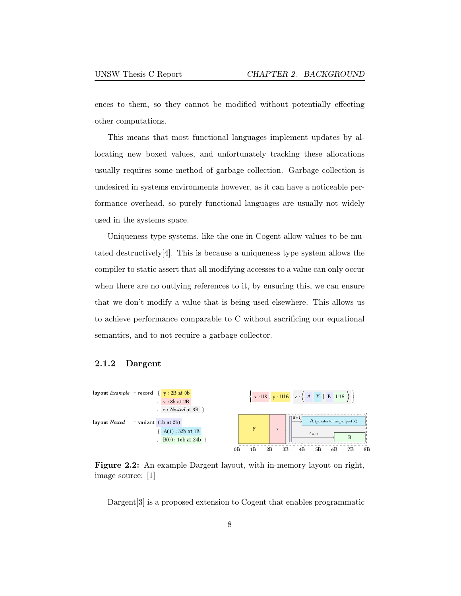ences to them, so they cannot be modified without potentially effecting other computations.

This means that most functional languages implement updates by allocating new boxed values, and unfortunately tracking these allocations usually requires some method of garbage collection. Garbage collection is undesired in systems environments however, as it can have a noticeable performance overhead, so purely functional languages are usually not widely used in the systems space.

Uniqueness type systems, like the one in Cogent allow values to be mutated destructively $[4]$ . This is because a uniqueness type system allows the compiler to static assert that all modifying accesses to a value can only occur when there are no outlying references to it, by ensuring this, we can ensure that we don't modify a value that is being used elsewhere. This allows us to achieve performance comparable to C without sacrificing our equational semantics, and to not require a garbage collector.

#### <span id="page-14-0"></span>2.1.2 Dargent

<span id="page-14-1"></span>

Figure 2.2: An example Dargent layout, with in-memory layout on right, image source: [\[1\]](#page-37-0)

Dargent<sup>[\[3\]](#page-37-2)</sup> is a proposed extension to Cogent that enables programmatic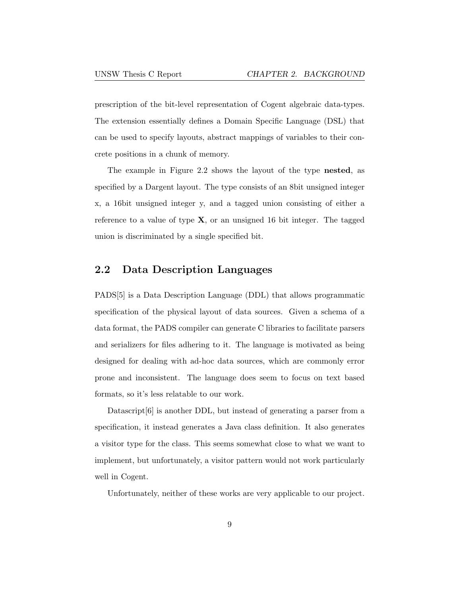prescription of the bit-level representation of Cogent algebraic data-types. The extension essentially defines a Domain Specific Language (DSL) that can be used to specify layouts, abstract mappings of variables to their concrete positions in a chunk of memory.

The example in [Figure 2.2](#page-14-1) shows the layout of the type nested, as specified by a Dargent layout. The type consists of an 8bit unsigned integer x, a 16bit unsigned integer y, and a tagged union consisting of either a reference to a value of type  $X$ , or an unsigned 16 bit integer. The tagged union is discriminated by a single specified bit.

### <span id="page-15-0"></span>2.2 Data Description Languages

PADS[\[5\]](#page-37-4) is a Data Description Language (DDL) that allows programmatic specification of the physical layout of data sources. Given a schema of a data format, the PADS compiler can generate C libraries to facilitate parsers and serializers for files adhering to it. The language is motivated as being designed for dealing with ad-hoc data sources, which are commonly error prone and inconsistent. The language does seem to focus on text based formats, so it's less relatable to our work.

Datascript[\[6\]](#page-38-0) is another DDL, but instead of generating a parser from a specification, it instead generates a Java class definition. It also generates a visitor type for the class. This seems somewhat close to what we want to implement, but unfortunately, a visitor pattern would not work particularly well in Cogent.

Unfortunately, neither of these works are very applicable to our project.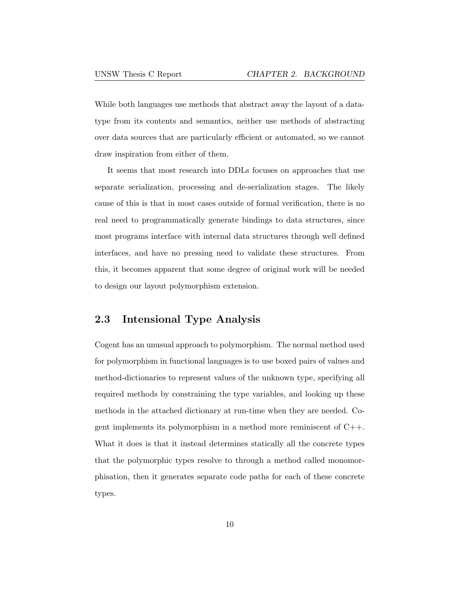While both languages use methods that abstract away the layout of a datatype from its contents and semantics, neither use methods of abstracting over data sources that are particularly efficient or automated, so we cannot draw inspiration from either of them.

It seems that most research into DDLs focuses on approaches that use separate serialization, processing and de-serialization stages. The likely cause of this is that in most cases outside of formal verification, there is no real need to programmatically generate bindings to data structures, since most programs interface with internal data structures through well defined interfaces, and have no pressing need to validate these structures. From this, it becomes apparent that some degree of original work will be needed to design our layout polymorphism extension.

### <span id="page-16-0"></span>2.3 Intensional Type Analysis

Cogent has an unusual approach to polymorphism. The normal method used for polymorphism in functional languages is to use boxed pairs of values and method-dictionaries to represent values of the unknown type, specifying all required methods by constraining the type variables, and looking up these methods in the attached dictionary at run-time when they are needed. Cogent implements its polymorphism in a method more reminiscent of C++. What it does is that it instead determines statically all the concrete types that the polymorphic types resolve to through a method called monomorphisation, then it generates separate code paths for each of these concrete types.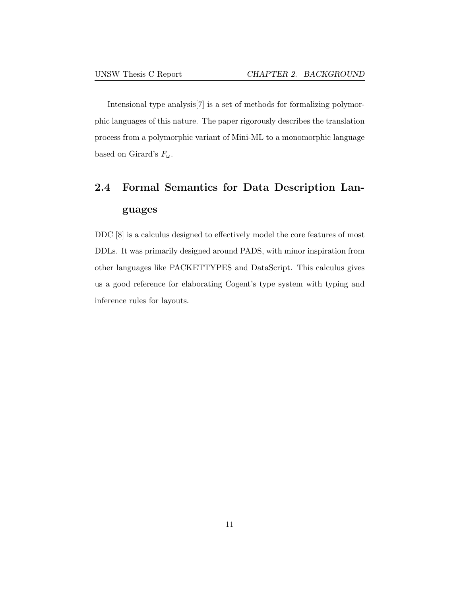Intensional type analysis[\[7\]](#page-38-1) is a set of methods for formalizing polymorphic languages of this nature. The paper rigorously describes the translation process from a polymorphic variant of Mini-ML to a monomorphic language based on Girard's  $F_{\omega}$ .

## <span id="page-17-0"></span>2.4 Formal Semantics for Data Description Languages

DDC [\[8\]](#page-38-2) is a calculus designed to effectively model the core features of most DDLs. It was primarily designed around PADS, with minor inspiration from other languages like PACKETTYPES and DataScript. This calculus gives us a good reference for elaborating Cogent's type system with typing and inference rules for layouts.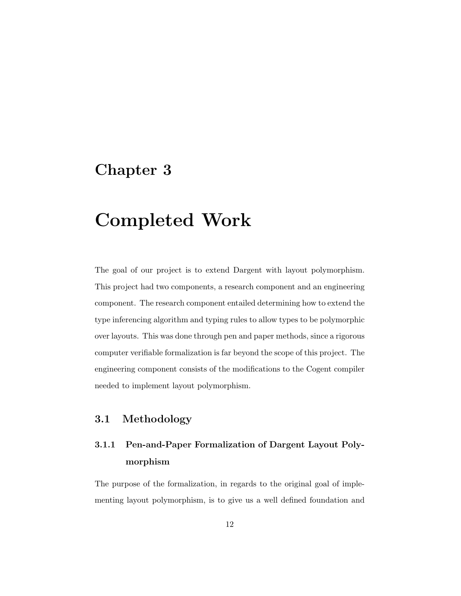## <span id="page-18-0"></span>Chapter 3

## Completed Work

The goal of our project is to extend Dargent with layout polymorphism. This project had two components, a research component and an engineering component. The research component entailed determining how to extend the type inferencing algorithm and typing rules to allow types to be polymorphic over layouts. This was done through pen and paper methods, since a rigorous computer verifiable formalization is far beyond the scope of this project. The engineering component consists of the modifications to the Cogent compiler needed to implement layout polymorphism.

## <span id="page-18-1"></span>3.1 Methodology

## <span id="page-18-2"></span>3.1.1 Pen-and-Paper Formalization of Dargent Layout Polymorphism

The purpose of the formalization, in regards to the original goal of implementing layout polymorphism, is to give us a well defined foundation and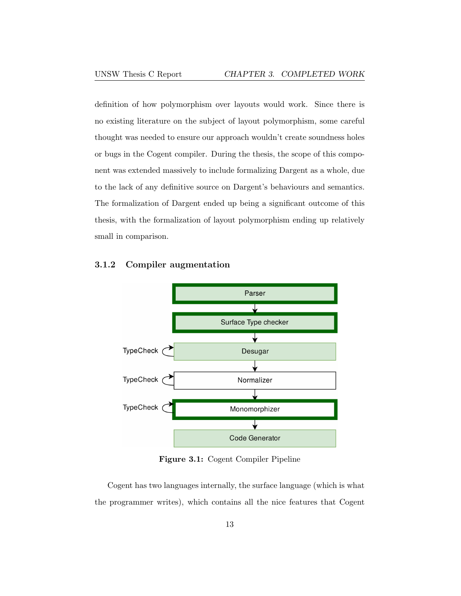definition of how polymorphism over layouts would work. Since there is no existing literature on the subject of layout polymorphism, some careful thought was needed to ensure our approach wouldn't create soundness holes or bugs in the Cogent compiler. During the thesis, the scope of this component was extended massively to include formalizing Dargent as a whole, due to the lack of any definitive source on Dargent's behaviours and semantics. The formalization of Dargent ended up being a significant outcome of this thesis, with the formalization of layout polymorphism ending up relatively small in comparison.

<span id="page-19-0"></span>

<span id="page-19-1"></span>

Figure 3.1: Cogent Compiler Pipeline

Cogent has two languages internally, the surface language (which is what the programmer writes), which contains all the nice features that Cogent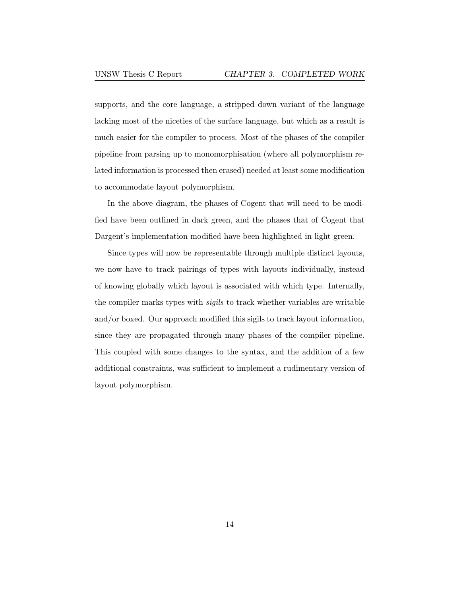supports, and the core language, a stripped down variant of the language lacking most of the niceties of the surface language, but which as a result is much easier for the compiler to process. Most of the phases of the compiler pipeline from parsing up to monomorphisation (where all polymorphism related information is processed then erased) needed at least some modification to accommodate layout polymorphism.

In the above diagram, the phases of Cogent that will need to be modified have been outlined in dark green, and the phases that of Cogent that Dargent's implementation modified have been highlighted in light green.

Since types will now be representable through multiple distinct layouts, we now have to track pairings of types with layouts individually, instead of knowing globally which layout is associated with which type. Internally, the compiler marks types with sigils to track whether variables are writable and/or boxed. Our approach modified this sigils to track layout information, since they are propagated through many phases of the compiler pipeline. This coupled with some changes to the syntax, and the addition of a few additional constraints, was sufficient to implement a rudimentary version of layout polymorphism.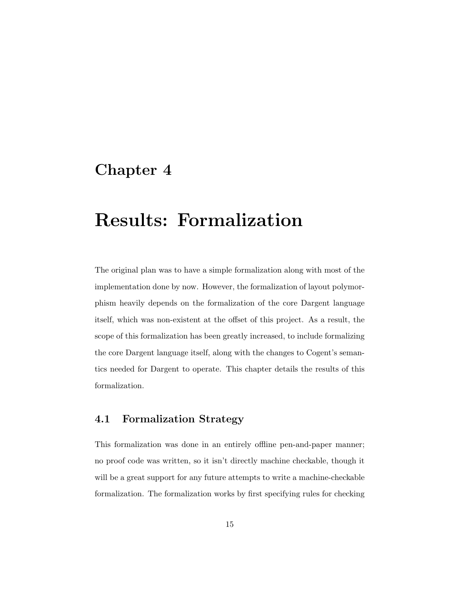## <span id="page-21-0"></span>Chapter 4

## Results: Formalization

The original plan was to have a simple formalization along with most of the implementation done by now. However, the formalization of layout polymorphism heavily depends on the formalization of the core Dargent language itself, which was non-existent at the offset of this project. As a result, the scope of this formalization has been greatly increased, to include formalizing the core Dargent language itself, along with the changes to Cogent's semantics needed for Dargent to operate. This chapter details the results of this formalization.

### <span id="page-21-1"></span>4.1 Formalization Strategy

This formalization was done in an entirely offline pen-and-paper manner; no proof code was written, so it isn't directly machine checkable, though it will be a great support for any future attempts to write a machine-checkable formalization. The formalization works by first specifying rules for checking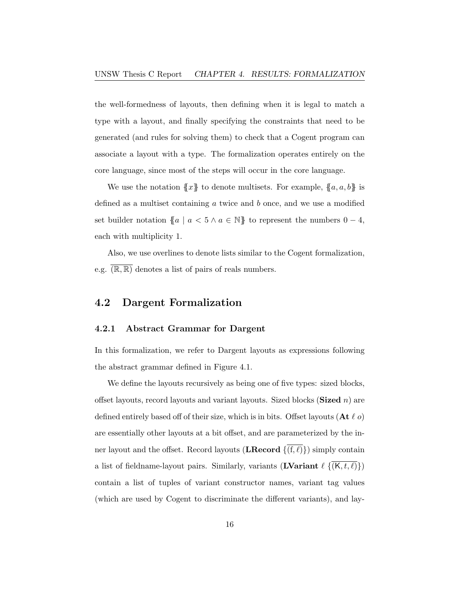the well-formedness of layouts, then defining when it is legal to match a type with a layout, and finally specifying the constraints that need to be generated (and rules for solving them) to check that a Cogent program can associate a layout with a type. The formalization operates entirely on the core language, since most of the steps will occur in the core language.

We use the notation  $\{x\}$  to denote multisets. For example,  $\{a, a, b\}$  is defined as a multiset containing  $a$  twice and  $b$  once, and we use a modified set builder notation  $\{a \mid a < 5 \land a \in \mathbb{N}\}$  to represent the numbers  $0 - 4$ , each with multiplicity 1.

Also, we use overlines to denote lists similar to the Cogent formalization, e.g.  $(\overline{\mathbb{R}, \mathbb{R}})$  denotes a list of pairs of reals numbers.

### <span id="page-22-0"></span>4.2 Dargent Formalization

### <span id="page-22-1"></span>4.2.1 Abstract Grammar for Dargent

In this formalization, we refer to Dargent layouts as expressions following the abstract grammar defined in [Figure 4.1.](#page-23-0)

We define the layouts recursively as being one of five types: sized blocks, offset layouts, record layouts and variant layouts. Sized blocks (**Sized** n) are defined entirely based off of their size, which is in bits. Offset layouts  $(At \ell o)$ are essentially other layouts at a bit offset, and are parameterized by the inner layout and the offset. Record layouts (LRecord  $\{(f, \ell)\}\$ ) simply contain a list of fieldname-layout pairs. Similarly, variants (**LVariant**  $\ell \left\{ \overline{(K, t, \ell)} \right\}$ ) contain a list of tuples of variant constructor names, variant tag values (which are used by Cogent to discriminate the different variants), and lay-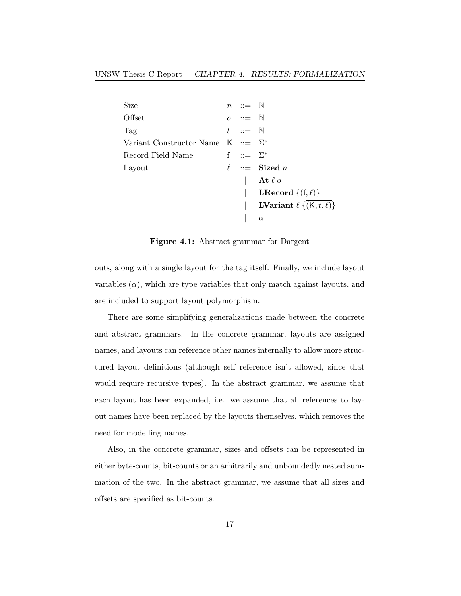<span id="page-23-0"></span>

| Size                                     | $n \quad ::= \quad \mathbb{N}$ |                                                 |
|------------------------------------------|--------------------------------|-------------------------------------------------|
| Offset                                   | $o \quad ::= \quad \mathbb{N}$ |                                                 |
| Tag                                      | $t \quad ::= \quad \mathbb{N}$ |                                                 |
| Variant Constructor Name $K := \Sigma^*$ |                                |                                                 |
| Record Field Name                        | f ::= $\Sigma^*$               |                                                 |
| Layout                                   |                                | $\ell$ ::= Sized <i>n</i>                       |
|                                          |                                | At $\ell$ o                                     |
|                                          |                                | <b>LRecord</b> $\{(f,\ell)\}\)$                 |
|                                          |                                | <b>LVariant</b> $\ell \{(\mathsf{K},t,\ell)\}\$ |
|                                          |                                | $\alpha$                                        |

Figure 4.1: Abstract grammar for Dargent

outs, along with a single layout for the tag itself. Finally, we include layout variables  $(\alpha)$ , which are type variables that only match against layouts, and are included to support layout polymorphism.

There are some simplifying generalizations made between the concrete and abstract grammars. In the concrete grammar, layouts are assigned names, and layouts can reference other names internally to allow more structured layout definitions (although self reference isn't allowed, since that would require recursive types). In the abstract grammar, we assume that each layout has been expanded, i.e. we assume that all references to layout names have been replaced by the layouts themselves, which removes the need for modelling names.

Also, in the concrete grammar, sizes and offsets can be represented in either byte-counts, bit-counts or an arbitrarily and unboundedly nested summation of the two. In the abstract grammar, we assume that all sizes and offsets are specified as bit-counts.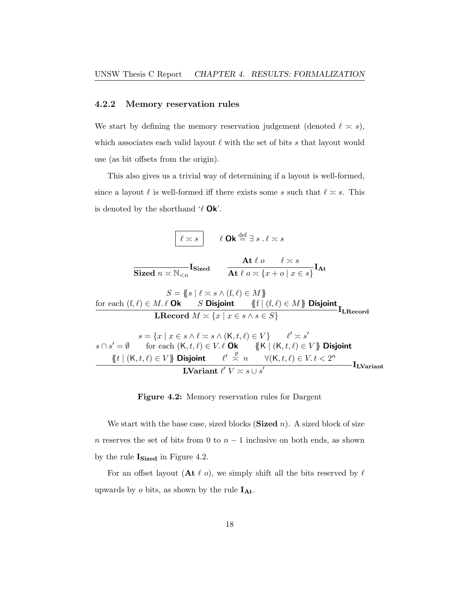#### <span id="page-24-0"></span>4.2.2 Memory reservation rules

We start by defining the memory reservation judgement (denoted  $\ell \approx s$ ), which associates each valid layout  $\ell$  with the set of bits s that layout would use (as bit offsets from the origin).

This also gives us a trivial way of determining if a layout is well-formed, since a layout  $\ell$  is well-formed iff there exists some s such that  $\ell \leq s$ . This is denoted by the shorthand  $\ell$  Ok'.

<span id="page-24-1"></span>

#### Figure 4.2: Memory reservation rules for Dargent

We start with the base case, sized blocks (**Sized**  $n$ ). A sized block of size n reserves the set of bits from 0 to  $n-1$  inclusive on both ends, as shown by the rule  $\mathbf{I_{Sized}}$  in [Figure 4.2.](#page-24-1)

For an offset layout (At  $\ell$  o), we simply shift all the bits reserved by  $\ell$ upwards by  $o$  bits, as shown by the rule  $I_{At}$ .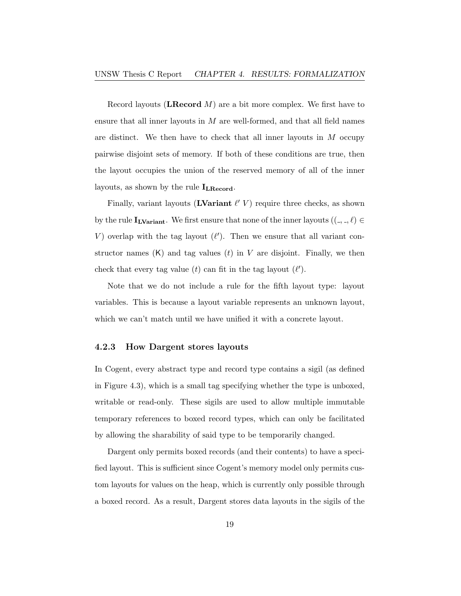Record layouts (LRecord  $M$ ) are a bit more complex. We first have to ensure that all inner layouts in  $M$  are well-formed, and that all field names are distinct. We then have to check that all inner layouts in  $M$  occupy pairwise disjoint sets of memory. If both of these conditions are true, then the layout occupies the union of the reserved memory of all of the inner layouts, as shown by the rule  $I_{LRecord}$ .

Finally, variant layouts (**LVariant**  $\ell'$  V) require three checks, as shown by the rule  $\mathbf{I}_{\text{LVariant}}$ . We first ensure that none of the inner layouts  $((\_,\_,\ell) \in$ V) overlap with the tag layout  $(\ell')$ . Then we ensure that all variant constructor names  $(K)$  and tag values  $(t)$  in V are disjoint. Finally, we then check that every tag value (t) can fit in the tag layout  $(\ell')$ .

Note that we do not include a rule for the fifth layout type: layout variables. This is because a layout variable represents an unknown layout, which we can't match until we have unified it with a concrete layout.

### <span id="page-25-0"></span>4.2.3 How Dargent stores layouts

In Cogent, every abstract type and record type contains a sigil (as defined in [Figure 4.3\)](#page-26-0), which is a small tag specifying whether the type is unboxed, writable or read-only. These sigils are used to allow multiple immutable temporary references to boxed record types, which can only be facilitated by allowing the sharability of said type to be temporarily changed.

Dargent only permits boxed records (and their contents) to have a specified layout. This is sufficient since Cogent's memory model only permits custom layouts for values on the heap, which is currently only possible through a boxed record. As a result, Dargent stores data layouts in the sigils of the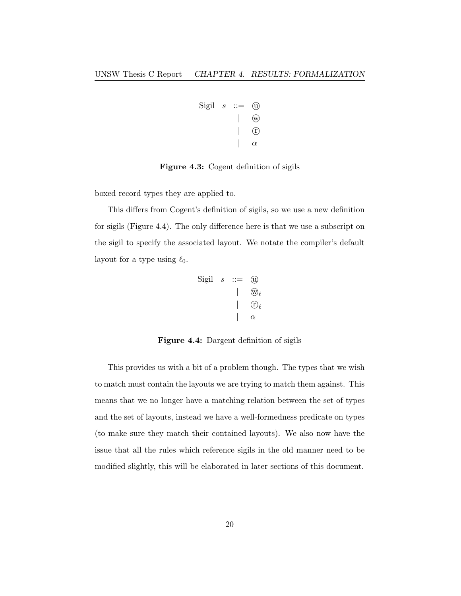$$
\begin{array}{ccc}\n\text{Sign} & s & ::= & \textcircled{1} \\
 & & | & \textcircled{2} \\
 & & | & \textcircled{2} \\
 & & | & \alpha\n\end{array}
$$

#### <span id="page-26-0"></span>Figure 4.3: Cogent definition of sigils

boxed record types they are applied to.

<span id="page-26-1"></span>This differs from Cogent's definition of sigils, so we use a new definition for sigils [\(Figure 4.4\)](#page-26-1). The only difference here is that we use a subscript on the sigil to specify the associated layout. We notate the compiler's default layout for a type using  $\ell_0$ .

$$
\begin{array}{ccc}\n\text{Sign} & s & ::= & \textcircled{1} \\
 & & | & \textcircled{1} \\
 & & | & \textcircled{1} \\
 & & | & \textcircled{2} \\
 & & | & \alpha\n\end{array}
$$

Figure 4.4: Dargent definition of sigils

This provides us with a bit of a problem though. The types that we wish to match must contain the layouts we are trying to match them against. This means that we no longer have a matching relation between the set of types and the set of layouts, instead we have a well-formedness predicate on types (to make sure they match their contained layouts). We also now have the issue that all the rules which reference sigils in the old manner need to be modified slightly, this will be elaborated in later sections of this document.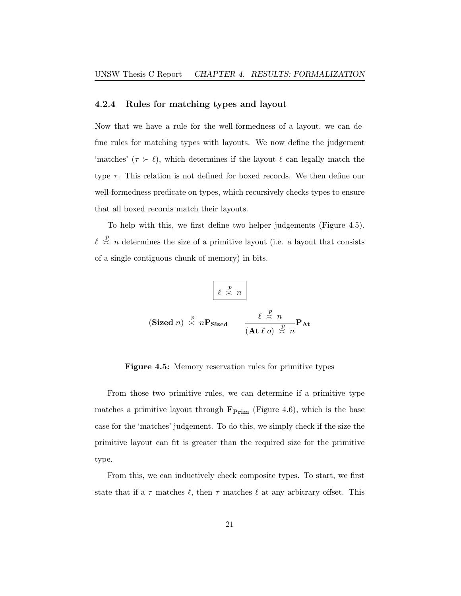#### <span id="page-27-0"></span>4.2.4 Rules for matching types and layout

Now that we have a rule for the well-formedness of a layout, we can define rules for matching types with layouts. We now define the judgement 'matches' ( $\tau > \ell$ ), which determines if the layout  $\ell$  can legally match the type  $\tau$ . This relation is not defined for boxed records. We then define our well-formedness predicate on types, which recursively checks types to ensure that all boxed records match their layouts.

<span id="page-27-1"></span>To help with this, we first define two helper judgements [\(Figure 4.5\)](#page-27-1).  $\ell \stackrel{p}{\asymp} n$  determines the size of a primitive layout (i.e. a layout that consists of a single contiguous chunk of memory) in bits.

$$
\ell \stackrel{p}{\asymp} n
$$
\n(Sized n)

\n
$$
\stackrel{p}{\asymp} n \mathbf{P}_{Sized} \qquad \frac{\ell \stackrel{p}{\asymp} n}{(\mathbf{At} \ell o) \stackrel{p}{\asymp} n} \mathbf{P}_{\mathbf{At}}
$$

#### Figure 4.5: Memory reservation rules for primitive types

From those two primitive rules, we can determine if a primitive type matches a primitive layout through  $\mathbf{F}_{\text{Prim}}$  [\(Figure 4.6\)](#page-28-0), which is the base case for the 'matches' judgement. To do this, we simply check if the size the primitive layout can fit is greater than the required size for the primitive type.

From this, we can inductively check composite types. To start, we first state that if a  $\tau$  matches  $\ell$ , then  $\tau$  matches  $\ell$  at any arbitrary offset. This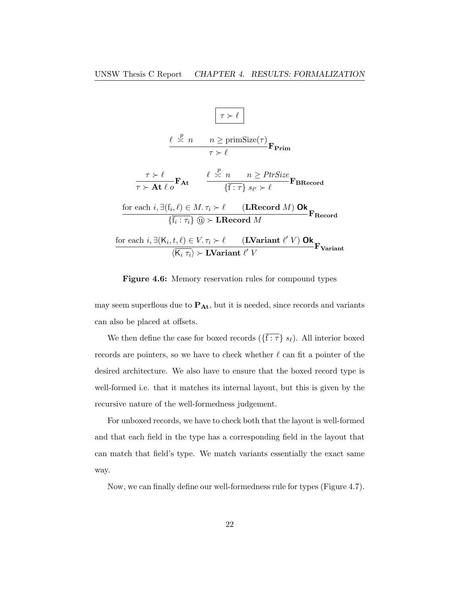<span id="page-28-0"></span>

Figure 4.6: Memory reservation rules for compound types

may seem superflous due to  $P_{At}$ , but it is needed, since records and variants can also be placed at offsets.

We then define the case for boxed records ( $\{\overline{f : \tau}\}\ s_{\ell}$ ). All interior boxed records are pointers, so we have to check whether  $\ell$  can fit a pointer of the desired architecture. We also have to ensure that the boxed record type is well-formed i.e. that it matches its internal layout, but this is given by the recursive nature of the well-formedness judgement.

For unboxed records, we have to check both that the layout is well-formed and that each field in the type has a corresponding field in the layout that can match that field's type. We match variants essentially the exact same way.

Now, we can finally define our well-formedness rule for types [\(Figure 4.7\)](#page-29-1).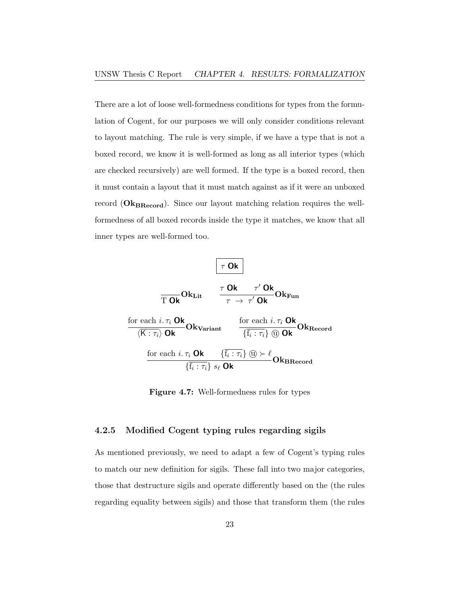There are a lot of loose well-formedness conditions for types from the formulation of Cogent, for our purposes we will only consider conditions relevant to layout matching. The rule is very simple, if we have a type that is not a boxed record, we know it is well-formed as long as all interior types (which are checked recursively) are well formed. If the type is a boxed record, then it must contain a layout that it must match against as if it were an unboxed record  $(\mathbf{Ok}_{\textbf{BRecord}})$ . Since our layout matching relation requires the wellformedness of all boxed records inside the type it matches, we know that all inner types are well-formed too.

<span id="page-29-1"></span>
$$
\begin{array}{|c|c|} \hline \tau\textbf{Ok} & \\ \hline \hline \tau\textbf{Ok} & \tau'\textbf{Ok} \\ \hline \tau\textbf{ok} & \tau\rightarrow \tau'\textbf{Ok} \\ \hline & \langle \overline{\mathsf{K}:\tau_i}\rangle\textbf{Ok} \\ \hline & \langle \overline{\mathsf{K}:\tau_i}\rangle\textbf{Ok} \\ \hline & \langle \overline{\mathsf{K}:\tau_i}\rangle\textbf{Ok} \\ \hline & \{ \overline{\mathsf{f}_i:\tau_i}\} \oplus \mathsf{K} \end{array} \begin{array}{c} \hline \tau'\textbf{Ok} \\ \hline & \langle \overline{\mathsf{R}:\tau_i}\textbf{Ok} \\ \hline & \langle \overline{\mathsf{f}_i:\tau_i}\rangle \oplus \mathsf{Dk} \\ \hline & \langle \overline{\mathsf{f}_i:\tau_i}\rangle \oplus \mathsf{K} \\ \hline & \langle \overline{\mathsf{f}_i:\tau_i}\rangle \end{array}
$$

Figure 4.7: Well-formedness rules for types

### <span id="page-29-0"></span>4.2.5 Modified Cogent typing rules regarding sigils

As mentioned previously, we need to adapt a few of Cogent's typing rules to match our new definition for sigils. These fall into two major categories, those that destructure sigils and operate differently based on the (the rules regarding equality between sigils) and those that transform them (the rules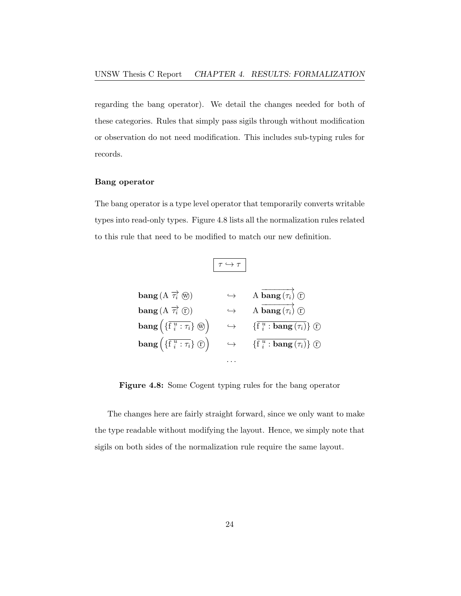regarding the bang operator). We detail the changes needed for both of these categories. Rules that simply pass sigils through without modification or observation do not need modification. This includes sub-typing rules for records.

### Bang operator

<span id="page-30-0"></span>The bang operator is a type level operator that temporarily converts writable types into read-only types. [Figure 4.8](#page-30-0) lists all the normalization rules related to this rule that need to be modified to match our new definition.

 $\tau \hookrightarrow \tau$ 

| bang (A $\overrightarrow{\tau_i}$ (w)                                                                          | $\hookrightarrow$ | A bang $(\tau_i)$ (f)                                                     |
|----------------------------------------------------------------------------------------------------------------|-------------------|---------------------------------------------------------------------------|
| bang (A $\overrightarrow{\tau_i}$ (r)                                                                          | $\hookrightarrow$ | A <b>bang</b> $(\tau_i)$ <b>c</b> )                                       |
| $\mathbf{bang}\left(\{\overline{\mathbf{f}}\ \substack{u \ i \end{matrix}:\tau_i\right\}\ \circledast\right)$  | $\hookrightarrow$ | $\{\overline{\mathbf{f}^{\ u}_i: \mathbf{bang}\left(\tau_i\right)}\}$ (f) |
| $\mathbf{bang}\left(\{\overline{\mathbf{f}}\ \substack{u \ i \end{matrix}:\tau_i\right\}\ (\mathbb{D})\right)$ | $\hookrightarrow$ | $\{\overline{\mathbf{f}^{\ u}_i: \mathbf{bang}\left(\tau_i\right)}\}$ (f) |
|                                                                                                                |                   |                                                                           |

Figure 4.8: Some Cogent typing rules for the bang operator

The changes here are fairly straight forward, since we only want to make the type readable without modifying the layout. Hence, we simply note that sigils on both sides of the normalization rule require the same layout.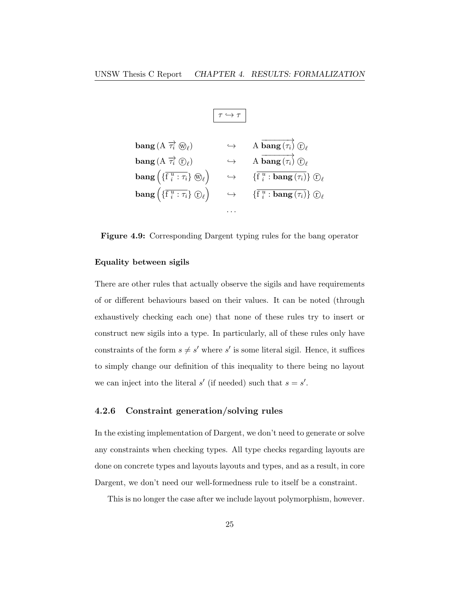$$
\boxed{\tau \hookrightarrow \tau}
$$

<span id="page-31-1"></span>
$$
\begin{array}{llll}\n\text{bang} \,(\text{A} \,\overrightarrow{\tau_i} \,\, \mathbb{O}_{\ell}) & \hookrightarrow & \text{A} \,\, \overrightarrow{\text{bang}} \,(\overrightarrow{\tau_i}) \,\, \mathbb{O}_{\ell} \\
\text{bang} \,(\text{A} \,\, \overrightarrow{\tau_i} \,\, \mathbb{O}_{\ell}) & \hookrightarrow & \text{A} \,\, \overrightarrow{\text{bang}} \,(\overrightarrow{\tau_i}) \,\, \mathbb{O}_{\ell} \\
\text{bang} \, \left(\{\overrightarrow{\tau_i}^{\,u} : \tau_i\} \,\, \mathbb{O}_{\ell}\right) & \hookrightarrow & \{\overrightarrow{\tau_i}^{\,u} : \, \text{bang} \,(\overrightarrow{\tau_i})\} \,\, \mathbb{O}_{\ell} \\
\text{bang} \, \left(\{\overrightarrow{\tau_i}^{\,u} : \tau_i\} \,\, \mathbb{O}_{\ell}\right) & \hookrightarrow & \{\overrightarrow{\tau_i}^{\,u} : \, \text{bang} \,(\overrightarrow{\tau_i})\} \,\, \mathbb{O}_{\ell} \\
\dots\n\end{array}
$$

Figure 4.9: Corresponding Dargent typing rules for the bang operator

### Equality between sigils

There are other rules that actually observe the sigils and have requirements of or different behaviours based on their values. It can be noted (through exhaustively checking each one) that none of these rules try to insert or construct new sigils into a type. In particularly, all of these rules only have constraints of the form  $s \neq s'$  where s' is some literal sigil. Hence, it suffices to simply change our definition of this inequality to there being no layout we can inject into the literal  $s'$  (if needed) such that  $s = s'$ .

### <span id="page-31-0"></span>4.2.6 Constraint generation/solving rules

In the existing implementation of Dargent, we don't need to generate or solve any constraints when checking types. All type checks regarding layouts are done on concrete types and layouts layouts and types, and as a result, in core Dargent, we don't need our well-formedness rule to itself be a constraint.

This is no longer the case after we include layout polymorphism, however.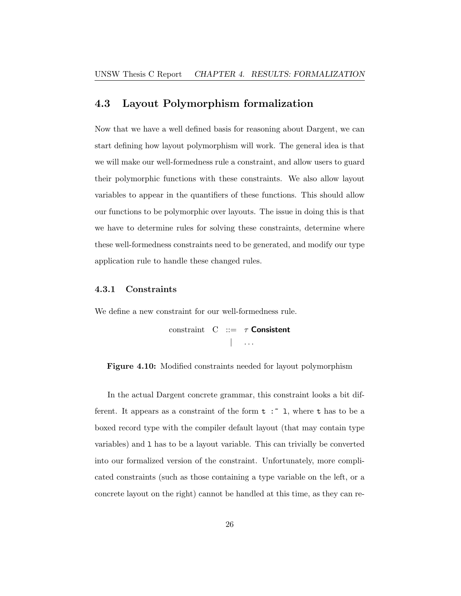### <span id="page-32-0"></span>4.3 Layout Polymorphism formalization

Now that we have a well defined basis for reasoning about Dargent, we can start defining how layout polymorphism will work. The general idea is that we will make our well-formedness rule a constraint, and allow users to guard their polymorphic functions with these constraints. We also allow layout variables to appear in the quantifiers of these functions. This should allow our functions to be polymorphic over layouts. The issue in doing this is that we have to determine rules for solving these constraints, determine where these well-formedness constraints need to be generated, and modify our type application rule to handle these changed rules.

#### <span id="page-32-1"></span>4.3.1 Constraints

<span id="page-32-2"></span>We define a new constraint for our well-formedness rule.

constraint  $C ::= \tau$  Consistent  $|$  . . . .

Figure 4.10: Modified constraints needed for layout polymorphism

In the actual Dargent concrete grammar, this constraint looks a bit different. It appears as a constraint of the form  $t : \tilde{ } \; 1$ , where  $t$  has to be a boxed record type with the compiler default layout (that may contain type variables) and l has to be a layout variable. This can trivially be converted into our formalized version of the constraint. Unfortunately, more complicated constraints (such as those containing a type variable on the left, or a concrete layout on the right) cannot be handled at this time, as they can re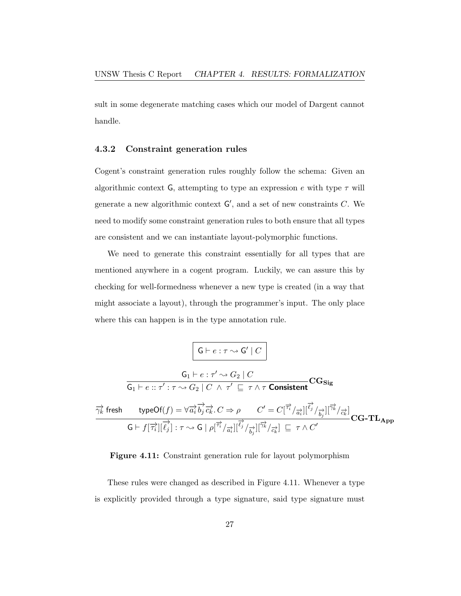sult in some degenerate matching cases which our model of Dargent cannot handle.

### <span id="page-33-0"></span>4.3.2 Constraint generation rules

Cogent's constraint generation rules roughly follow the schema: Given an algorithmic context G, attempting to type an expression e with type  $\tau$  will generate a new algorithmic context  $G'$ , and a set of new constraints C. We need to modify some constraint generation rules to both ensure that all types are consistent and we can instantiate layout-polymorphic functions.

We need to generate this constraint essentially for all types that are mentioned anywhere in a cogent program. Luckily, we can assure this by checking for well-formedness whenever a new type is created (in a way that might associate a layout), through the programmer's input. The only place where this can happen is in the type annotation rule.

<span id="page-33-1"></span>
$$
\frac{\mathsf{G}\vdash e:\tau\rightsquigarrow\mathsf{G}'\mid C}{\mathsf{G}_1\vdash e::\tau':\tau\rightsquigarrow\mathsf{G}_2\mid C}
$$
\n
$$
\frac{\mathsf{G}_1\vdash e:\tau'\rightsquigarrow\mathsf{G}_2\mid C}{\mathsf{G}_1\vdash e::\tau':\tau\rightsquigarrow\mathsf{G}_2\mid C\ \wedge\ \tau'\ \sqsubseteq\ \tau\ \wedge\ \tau\ \text{\textbf{Consistent}}} \mathbf{C}\mathbf{G}_{\mathbf{Sig}}
$$
\n
$$
\frac{\overrightarrow{\gamma_k}\text{ fresh }\qquad \text{typeOf}(f)=\forall\overrightarrow{a_i}\overrightarrow{b_j}\overrightarrow{c_k}.C\Rightarrow\rho\qquad C'=C[\overrightarrow{\tau_i}/\overrightarrow{a_i}][\overrightarrow{\ell_j}/\overrightarrow{b_j}][\overrightarrow{\gamma_k}/\overrightarrow{c_k}]}{\mathbf{G}\vdash f[\overrightarrow{\tau_i}][\overrightarrow{\ell_j}]:\tau\sim\mathsf{G}\mid\rho[\overrightarrow{\tau_i}/\overrightarrow{a_i}][\overrightarrow{\ell_j}/\overrightarrow{b_j}][\overrightarrow{\gamma_k}/\overrightarrow{c_k}]} \mathbf{C}\mathbf{G}\text{-}\mathbf{TL}_{\mathbf{App}}
$$



These rules were changed as described in [Figure 4.11.](#page-33-1) Whenever a type is explicitly provided through a type signature, said type signature must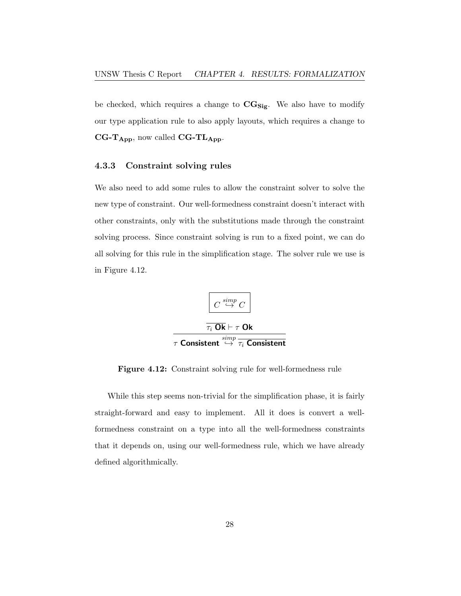be checked, which requires a change to  $CG_{Sig}$ . We also have to modify our type application rule to also apply layouts, which requires a change to  $CG-T_{App}$ , now called  $CG-TL_{App}$ .

### <span id="page-34-0"></span>4.3.3 Constraint solving rules

We also need to add some rules to allow the constraint solver to solve the new type of constraint. Our well-formedness constraint doesn't interact with other constraints, only with the substitutions made through the constraint solving process. Since constraint solving is run to a fixed point, we can do all solving for this rule in the simplification stage. The solver rule we use is in [Figure 4.12.](#page-34-1)

<span id="page-34-1"></span>
$$
\fbox{$\frac{\sum_{i=1}^{p} C_i}{\frac{\overline{\tau}_i \, \mathbf{Ok}}{\tau_i \, \mathbf{Ok}} \rightarrow \tau$}}$
$$

Figure 4.12: Constraint solving rule for well-formedness rule

While this step seems non-trivial for the simplification phase, it is fairly straight-forward and easy to implement. All it does is convert a wellformedness constraint on a type into all the well-formedness constraints that it depends on, using our well-formedness rule, which we have already defined algorithmically.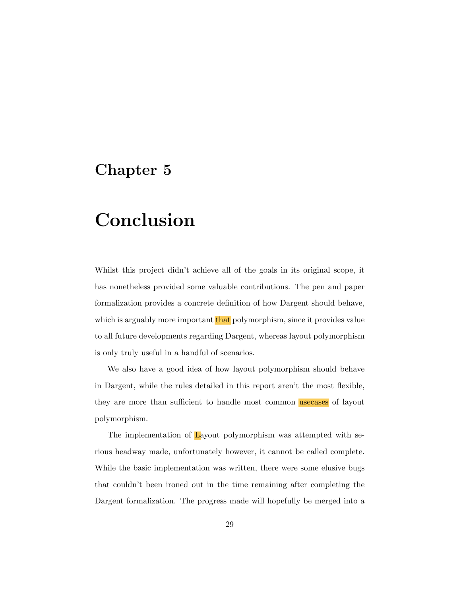## <span id="page-35-0"></span>Chapter 5

## Conclusion

Whilst this project didn't achieve all of the goals in its original scope, it has nonetheless provided some valuable contributions. The pen and paper formalization provides a concrete definition of how Dargent should behave, which is arguably more important that polymorphism, since it provides value to all future developments regarding Dargent, whereas layout polymorphism is only truly useful in a handful of scenarios.

We also have a good idea of how layout polymorphism should behave in Dargent, while the rules detailed in this report aren't the most flexible, they are more than sufficient to handle most common usecases of layout polymorphism.

The implementation of Layout polymorphism was attempted with serious headway made, unfortunately however, it cannot be called complete. While the basic implementation was written, there were some elusive bugs that couldn't been ironed out in the time remaining after completing the Dargent formalization. The progress made will hopefully be merged into a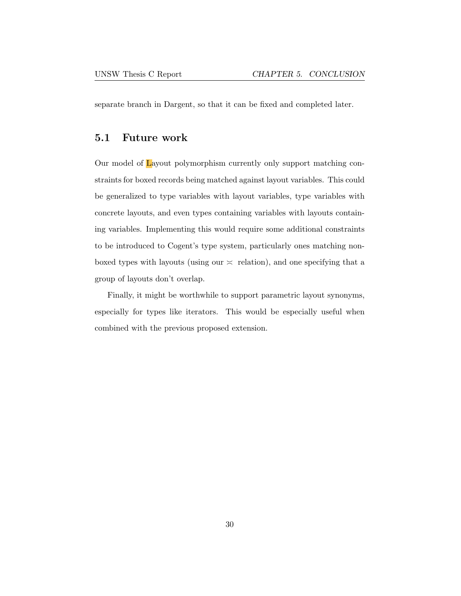separate branch in Dargent, so that it can be fixed and completed later.

### <span id="page-36-0"></span>5.1 Future work

Our model of Layout polymorphism currently only support matching constraints for boxed records being matched against layout variables. This could be generalized to type variables with layout variables, type variables with concrete layouts, and even types containing variables with layouts containing variables. Implementing this would require some additional constraints to be introduced to Cogent's type system, particularly ones matching nonboxed types with layouts (using our  $\leq$  relation), and one specifying that a group of layouts don't overlap.

Finally, it might be worthwhile to support parametric layout synonyms, especially for types like iterators. This would be especially useful when combined with the previous proposed extension.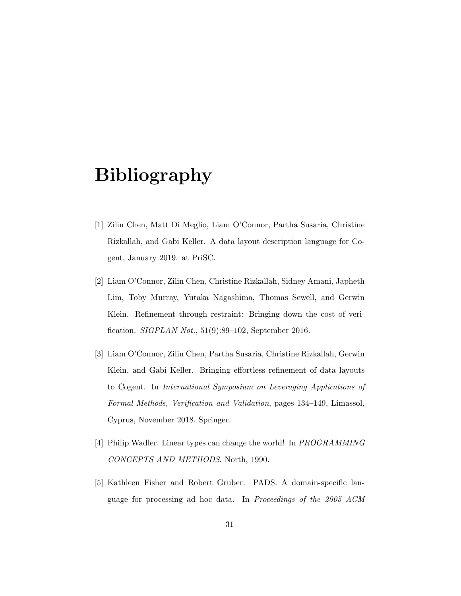## Bibliography

- <span id="page-37-0"></span>[1] Zilin Chen, Matt Di Meglio, Liam O'Connor, Partha Susaria, Christine Rizkallah, and Gabi Keller. A data layout description language for Cogent, January 2019. at PriSC.
- <span id="page-37-1"></span>[2] Liam O'Connor, Zilin Chen, Christine Rizkallah, Sidney Amani, Japheth Lim, Toby Murray, Yutaka Nagashima, Thomas Sewell, and Gerwin Klein. Refinement through restraint: Bringing down the cost of verification. SIGPLAN Not., 51(9):89–102, September 2016.
- <span id="page-37-2"></span>[3] Liam O'Connor, Zilin Chen, Partha Susaria, Christine Rizkallah, Gerwin Klein, and Gabi Keller. Bringing effortless refinement of data layouts to Cogent. In International Symposium on Leveraging Applications of Formal Methods, Verification and Validation, pages 134–149, Limassol, Cyprus, November 2018. Springer.
- <span id="page-37-3"></span>[4] Philip Wadler. Linear types can change the world! In PROGRAMMING CONCEPTS AND METHODS. North, 1990.
- <span id="page-37-4"></span>[5] Kathleen Fisher and Robert Gruber. PADS: A domain-specific language for processing ad hoc data. In Proceedings of the 2005 ACM